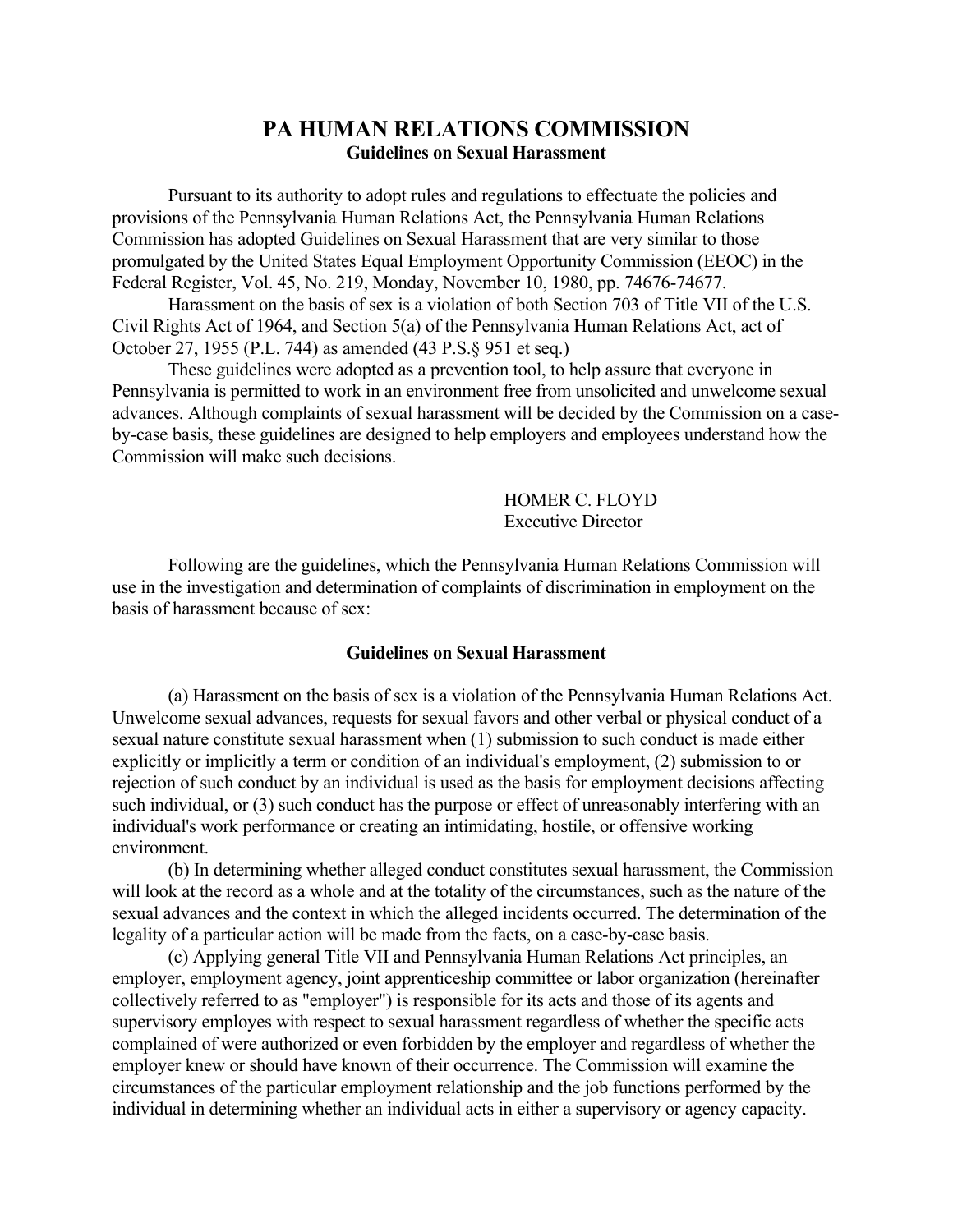## **PA HUMAN RELATIONS COMMISSION Guidelines on Sexual Harassment**

Pursuant to its authority to adopt rules and regulations to effectuate the policies and provisions of the Pennsylvania Human Relations Act, the Pennsylvania Human Relations Commission has adopted Guidelines on Sexual Harassment that are very similar to those promulgated by the United States Equal Employment Opportunity Commission (EEOC) in the Federal Register, Vol. 45, No. 219, Monday, November 10, 1980, pp. 74676-74677.

 Harassment on the basis of sex is a violation of both Section 703 of Title VII of the U.S. Civil Rights Act of 1964, and Section 5(a) of the Pennsylvania Human Relations Act, act of October 27, 1955 (P.L. 744) as amended (43 P.S.§ 951 et seq.)

 These guidelines were adopted as a prevention tool, to help assure that everyone in Pennsylvania is permitted to work in an environment free from unsolicited and unwelcome sexual advances. Although complaints of sexual harassment will be decided by the Commission on a caseby-case basis, these guidelines are designed to help employers and employees understand how the Commission will make such decisions.

> HOMER C. FLOYD Executive Director

Following are the guidelines, which the Pennsylvania Human Relations Commission will use in the investigation and determination of complaints of discrimination in employment on the basis of harassment because of sex:

## **Guidelines on Sexual Harassment**

(a) Harassment on the basis of sex is a violation of the Pennsylvania Human Relations Act. Unwelcome sexual advances, requests for sexual favors and other verbal or physical conduct of a sexual nature constitute sexual harassment when (1) submission to such conduct is made either explicitly or implicitly a term or condition of an individual's employment, (2) submission to or rejection of such conduct by an individual is used as the basis for employment decisions affecting such individual, or (3) such conduct has the purpose or effect of unreasonably interfering with an individual's work performance or creating an intimidating, hostile, or offensive working environment.

 (b) In determining whether alleged conduct constitutes sexual harassment, the Commission will look at the record as a whole and at the totality of the circumstances, such as the nature of the sexual advances and the context in which the alleged incidents occurred. The determination of the legality of a particular action will be made from the facts, on a case-by-case basis.

 (c) Applying general Title VII and Pennsylvania Human Relations Act principles, an employer, employment agency, joint apprenticeship committee or labor organization (hereinafter collectively referred to as "employer") is responsible for its acts and those of its agents and supervisory employes with respect to sexual harassment regardless of whether the specific acts complained of were authorized or even forbidden by the employer and regardless of whether the employer knew or should have known of their occurrence. The Commission will examine the circumstances of the particular employment relationship and the job functions performed by the individual in determining whether an individual acts in either a supervisory or agency capacity.